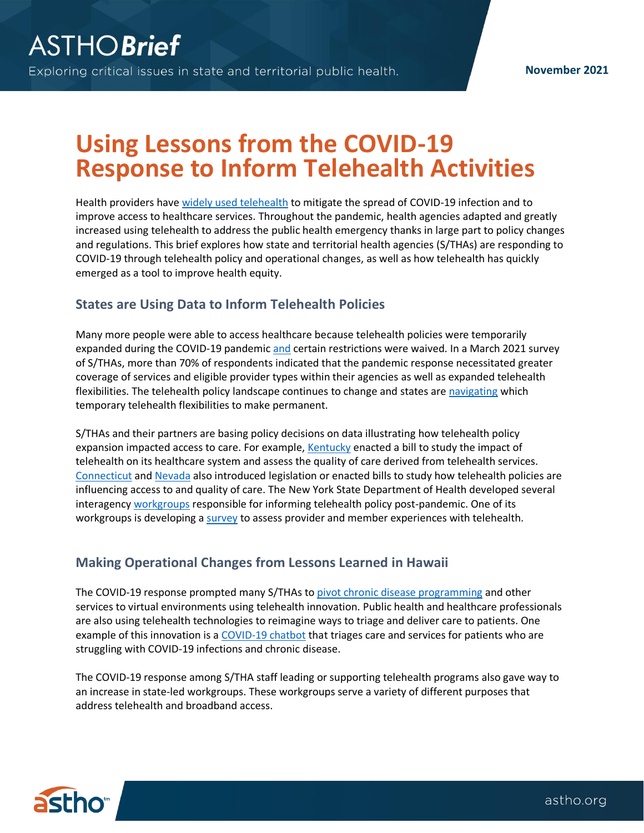# **Using Lessons from the COVID-19 Response to Inform Telehealth Activities**

Health providers have [widely used telehealth](https://www.ncbi.nlm.nih.gov/pmc/articles/PMC7395209/) to mitigate the spread of COVID-19 infection and to improve access to healthcare services. Throughout the pandemic, health agencies adapted and greatly increased using telehealth to address the public health emergency thanks in large part to policy changes and regulations. This brief explores how state and territorial health agencies (S/THAs) are responding to COVID-19 through telehealth policy and operational changes, as well as how telehealth has quickly emerged as a tool to improve health equity.

#### **States are Using Data to Inform Telehealth Policies**

Many more people were able to access healthcare because telehealth policies were temporarily expanded during the COVID-19 pandemic [and](https://www.astho.org/StatePublicHealth/States-Leverage-Telehealth-to-Respond-to-COVID-19/04-08-20/) certain restrictions were waived. In a March 2021 survey of S/THAs, more than 70% of respondents indicated that the pandemic response necessitated greater coverage of services and eligible provider types within their agencies as well as expanded telehealth flexibilities. The telehealth policy landscape continues to change and states are [navigating](https://www.astho.org/StatePublicHealth/States-Try-to-Make-COVID-19-Telehealth-Options-Permanent/04-29-21/) which temporary telehealth flexibilities to make permanent.

S/THAs and their partners are basing policy decisions on data illustrating how telehealth policy expansion impacted access to care. For example[, Kentucky](https://s3.amazonaws.com/fn-document-service/file-by-sha384/c2cc4f5711d42cad5576fb2c3fecfe9c2b5e9022a65125629042894f67a042d9ef0cfec7b9920a9a1bc3f6ee818a6ba9) enacted a bill to study the impact of telehealth on its healthcare system and assess the quality of care derived from telehealth services. [Connecticut](https://www.cga.ct.gov/2021/TOB/H/PDF/2021HB-06472-R00-HB.PDF) and [Nevada](https://www.leg.state.nv.us/App/NELIS/REL/81st2021/Bill/7180/Text) also introduced legislation or enacted bills to study how telehealth policies are influencing access to and quality of care. The New York State Department of Health developed several interagency [workgroups](https://forward.ny.gov/system/files/documents/2021/02/reimaginenycommission_telehealthworkinggroup03.pdf) responsible for informing telehealth policy post-pandemic. One of its workgroups is developing [a survey](https://www.nyaprs.org/e-news-bulletins/2020/12/4/new-york-state-all-health-care-provider-telehealth-policy-survey) to assess provider and member experiences with telehealth.

### **Making Operational Changes from Lessons Learned in Hawaii**

The COVID-19 response prompted many S/THAs t[o pivot chronic disease programming](https://www.cdc.gov/diabetes/programs/stateandlocal/funded-programs/dp18-1817.html) and other services to virtual environments using telehealth innovation. Public health and healthcare professionals are also using telehealth technologies to reimagine ways to triage and deliver care to patients. One example of this innovation is [a COVID-19 chatbot](https://www.ncbi.nlm.nih.gov/pmc/articles/PMC7313990/) that triages care and services for patients who are struggling with COVID-19 infections and chronic disease.

The COVID-19 response among S/THA staff leading or supporting telehealth programs also gave way to an increase in state-led workgroups. These workgroups serve a variety of different purposes that address telehealth and broadband access.